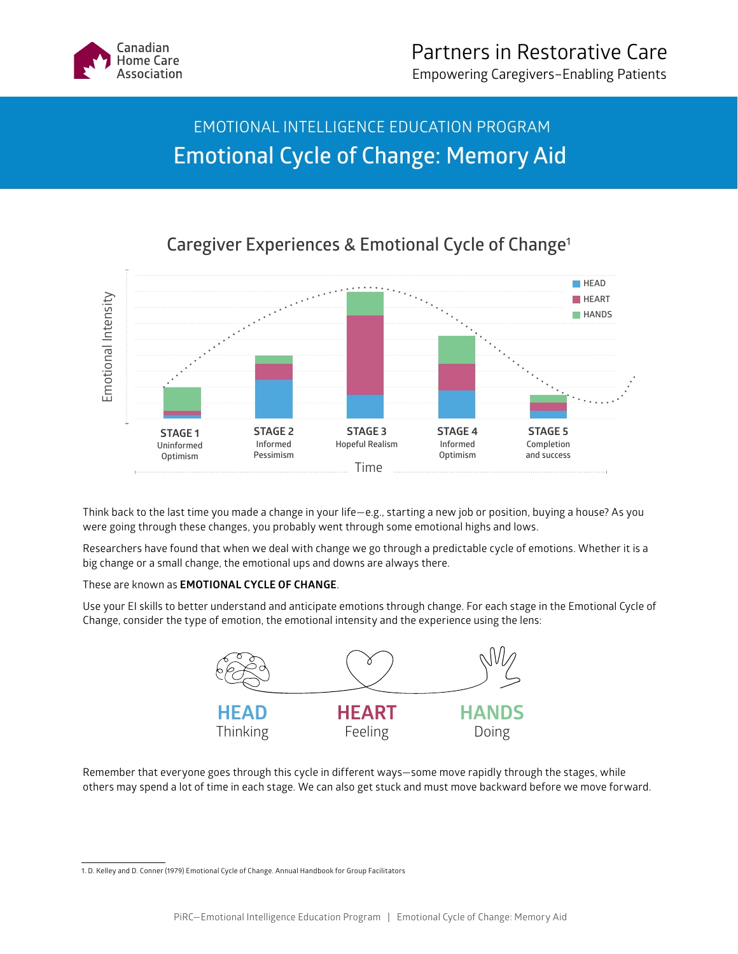

## EMOTIONAL INTELLIGENCE EDUCATION PROGRAM **Emotional Cycle of Change: Memory Aid**



**Caregiver Experiences & Emotional Cycle of Change1**

Think back to the last time you made a change in your life—e.g., starting a new job or position, buying a house? As you were going through these changes, you probably went through some emotional highs and lows.

Researchers have found that when we deal with change we go through a predictable cycle of emotions. Whether it is a big change or a small change, the emotional ups and downs are always there.

## These are known as **EMOTIONAL CYCLE OF CHANGE**.

Use your EI skills to better understand and anticipate emotions through change. For each stage in the Emotional Cycle of Change, consider the type of emotion, the emotional intensity and the experience using the lens:



Remember that everyone goes through this cycle in different ways—some move rapidly through the stages, while others may spend a lot of time in each stage. We can also get stuck and must move backward before we move forward.

<sup>1.</sup> D. Kelley and D. Conner (1979) Emotional Cycle of Change. Annual Handbook for Group Facilitators